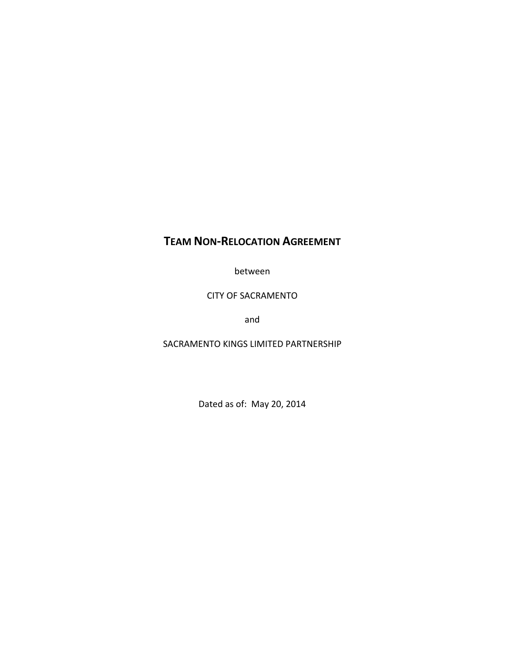# **TEAM NON‐RELOCATION AGREEMENT**

between

# CITY OF SACRAMENTO

and

# SACRAMENTO KINGS LIMITED PARTNERSHIP

Dated as of: May 20, 2014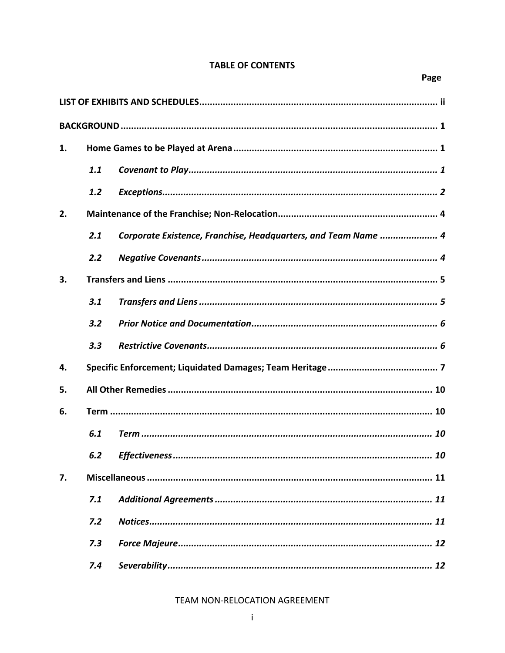# **TABLE OF CONTENTS**

| 1. |     |                                                                |  |  |  |
|----|-----|----------------------------------------------------------------|--|--|--|
|    | 1.1 |                                                                |  |  |  |
|    | 1.2 |                                                                |  |  |  |
| 2. |     |                                                                |  |  |  |
|    | 2.1 | Corporate Existence, Franchise, Headquarters, and Team Name  4 |  |  |  |
|    | 2.2 |                                                                |  |  |  |
| 3. |     |                                                                |  |  |  |
|    | 3.1 |                                                                |  |  |  |
|    | 3.2 |                                                                |  |  |  |
|    | 3.3 |                                                                |  |  |  |
| 4. |     |                                                                |  |  |  |
| 5. |     |                                                                |  |  |  |
| 6. |     |                                                                |  |  |  |
|    | 6.1 |                                                                |  |  |  |
|    | 6.2 |                                                                |  |  |  |
| 7. |     |                                                                |  |  |  |
|    | 7.1 |                                                                |  |  |  |
|    | 7.2 |                                                                |  |  |  |
|    | 7.3 |                                                                |  |  |  |
|    | 7.4 |                                                                |  |  |  |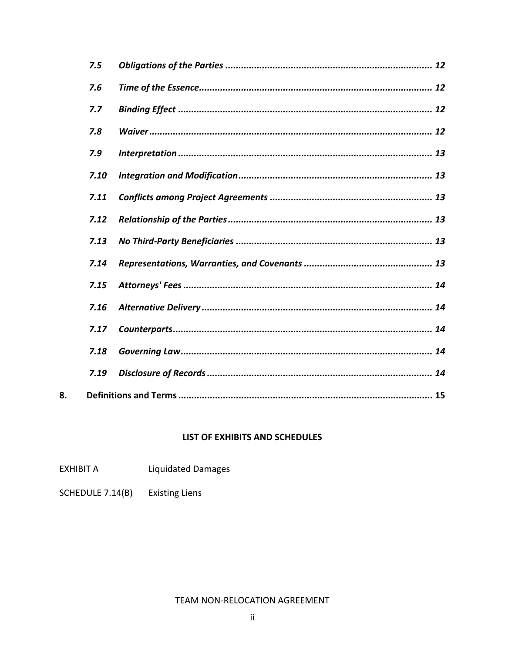| 7.5  |  |  |  |  |
|------|--|--|--|--|
| 7.6  |  |  |  |  |
| 7.7  |  |  |  |  |
| 7.8  |  |  |  |  |
| 7.9  |  |  |  |  |
| 7.10 |  |  |  |  |
| 7.11 |  |  |  |  |
| 7.12 |  |  |  |  |
| 7.13 |  |  |  |  |
| 7.14 |  |  |  |  |
| 7.15 |  |  |  |  |
| 7.16 |  |  |  |  |
| 7.17 |  |  |  |  |
| 7.18 |  |  |  |  |
| 7.19 |  |  |  |  |
|      |  |  |  |  |

# LIST OF EXHIBITS AND SCHEDULES

- EXHIBIT A Liquidated Damages
- SCHEDULE 7.14(B) **Existing Liens**

8.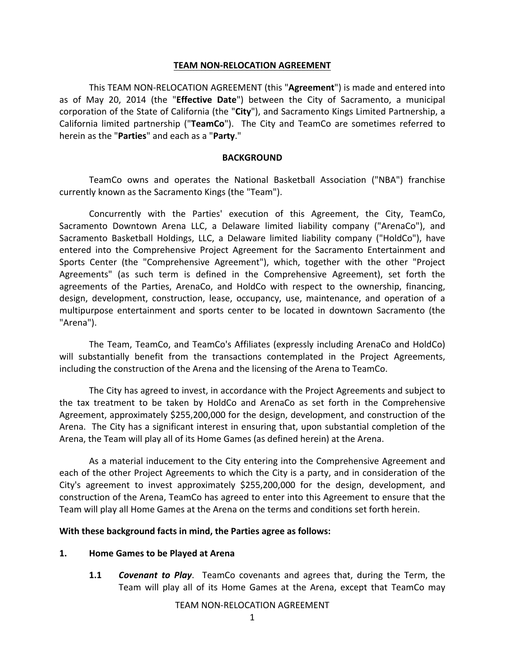#### **TEAM NON‐RELOCATION AGREEMENT**

This TEAM NON‐RELOCATION AGREEMENT (this "**Agreement**") is made and entered into as of May 20, 2014 (the "**Effective Date**") between the City of Sacramento, a municipal corporation of the State of California (the "**City**"), and Sacramento Kings Limited Partnership, a California limited partnership ("**TeamCo**"). The City and TeamCo are sometimes referred to herein as the "**Parties**" and each as a "**Party**."

#### **BACKGROUND**

TeamCo owns and operates the National Basketball Association ("NBA") franchise currently known as the Sacramento Kings (the "Team").

Concurrently with the Parties' execution of this Agreement, the City, TeamCo, Sacramento Downtown Arena LLC, a Delaware limited liability company ("ArenaCo"), and Sacramento Basketball Holdings, LLC, a Delaware limited liability company ("HoldCo"), have entered into the Comprehensive Project Agreement for the Sacramento Entertainment and Sports Center (the "Comprehensive Agreement"), which, together with the other "Project Agreements" (as such term is defined in the Comprehensive Agreement), set forth the agreements of the Parties, ArenaCo, and HoldCo with respect to the ownership, financing, design, development, construction, lease, occupancy, use, maintenance, and operation of a multipurpose entertainment and sports center to be located in downtown Sacramento (the "Arena").

The Team, TeamCo, and TeamCo's Affiliates (expressly including ArenaCo and HoldCo) will substantially benefit from the transactions contemplated in the Project Agreements, including the construction of the Arena and the licensing of the Arena to TeamCo.

The City has agreed to invest, in accordance with the Project Agreements and subject to the tax treatment to be taken by HoldCo and ArenaCo as set forth in the Comprehensive Agreement, approximately \$255,200,000 for the design, development, and construction of the Arena. The City has a significant interest in ensuring that, upon substantial completion of the Arena, the Team will play all of its Home Games (as defined herein) at the Arena.

As a material inducement to the City entering into the Comprehensive Agreement and each of the other Project Agreements to which the City is a party, and in consideration of the City's agreement to invest approximately \$255,200,000 for the design, development, and construction of the Arena, TeamCo has agreed to enter into this Agreement to ensure that the Team will play all Home Games at the Arena on the terms and conditions set forth herein.

### **With these background facts in mind, the Parties agree as follows:**

### **1. Home Games to be Played at Arena**

**1.1** *Covenant to Play*. TeamCo covenants and agrees that, during the Term, the Team will play all of its Home Games at the Arena, except that TeamCo may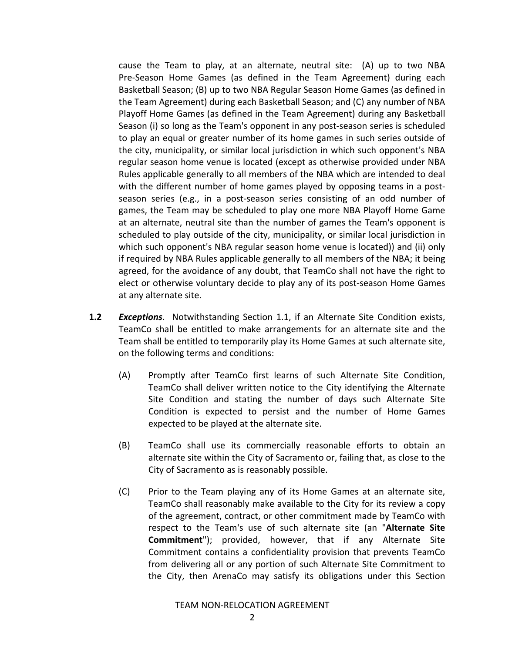cause the Team to play, at an alternate, neutral site: (A) up to two NBA Pre‐Season Home Games (as defined in the Team Agreement) during each Basketball Season; (B) up to two NBA Regular Season Home Games (as defined in the Team Agreement) during each Basketball Season; and (C) any number of NBA Playoff Home Games (as defined in the Team Agreement) during any Basketball Season (i) so long as the Team's opponent in any post‐season series is scheduled to play an equal or greater number of its home games in such series outside of the city, municipality, or similar local jurisdiction in which such opponent's NBA regular season home venue is located (except as otherwise provided under NBA Rules applicable generally to all members of the NBA which are intended to deal with the different number of home games played by opposing teams in a postseason series (e.g., in a post‐season series consisting of an odd number of games, the Team may be scheduled to play one more NBA Playoff Home Game at an alternate, neutral site than the number of games the Team's opponent is scheduled to play outside of the city, municipality, or similar local jurisdiction in which such opponent's NBA regular season home venue is located)) and (ii) only if required by NBA Rules applicable generally to all members of the NBA; it being agreed, for the avoidance of any doubt, that TeamCo shall not have the right to elect or otherwise voluntary decide to play any of its post‐season Home Games at any alternate site.

- **1.2** *Exceptions*. Notwithstanding Section 1.1, if an Alternate Site Condition exists, TeamCo shall be entitled to make arrangements for an alternate site and the Team shall be entitled to temporarily play its Home Games at such alternate site, on the following terms and conditions:
	- (A) Promptly after TeamCo first learns of such Alternate Site Condition, TeamCo shall deliver written notice to the City identifying the Alternate Site Condition and stating the number of days such Alternate Site Condition is expected to persist and the number of Home Games expected to be played at the alternate site.
	- (B) TeamCo shall use its commercially reasonable efforts to obtain an alternate site within the City of Sacramento or, failing that, as close to the City of Sacramento as is reasonably possible.
	- (C) Prior to the Team playing any of its Home Games at an alternate site, TeamCo shall reasonably make available to the City for its review a copy of the agreement, contract, or other commitment made by TeamCo with respect to the Team's use of such alternate site (an "**Alternate Site Commitment**"); provided, however, that if any Alternate Site Commitment contains a confidentiality provision that prevents TeamCo from delivering all or any portion of such Alternate Site Commitment to the City, then ArenaCo may satisfy its obligations under this Section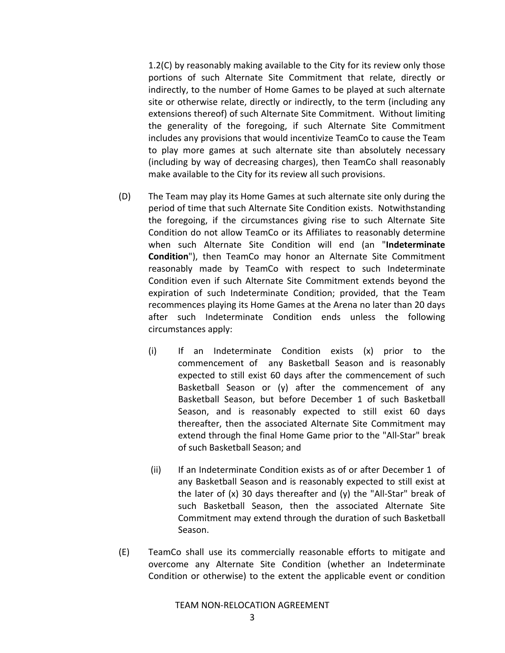1.2(C) by reasonably making available to the City for its review only those portions of such Alternate Site Commitment that relate, directly or indirectly, to the number of Home Games to be played at such alternate site or otherwise relate, directly or indirectly, to the term (including any extensions thereof) of such Alternate Site Commitment. Without limiting the generality of the foregoing, if such Alternate Site Commitment includes any provisions that would incentivize TeamCo to cause the Team to play more games at such alternate site than absolutely necessary (including by way of decreasing charges), then TeamCo shall reasonably make available to the City for its review all such provisions.

- (D) The Team may play its Home Games at such alternate site only during the period of time that such Alternate Site Condition exists. Notwithstanding the foregoing, if the circumstances giving rise to such Alternate Site Condition do not allow TeamCo or its Affiliates to reasonably determine when such Alternate Site Condition will end (an "**Indeterminate Condition**"), then TeamCo may honor an Alternate Site Commitment reasonably made by TeamCo with respect to such Indeterminate Condition even if such Alternate Site Commitment extends beyond the expiration of such Indeterminate Condition; provided, that the Team recommences playing its Home Games at the Arena no later than 20 days after such Indeterminate Condition ends unless the following circumstances apply:
	- (i) If an Indeterminate Condition exists (x) prior to the commencement of any Basketball Season and is reasonably expected to still exist 60 days after the commencement of such Basketball Season or (y) after the commencement of any Basketball Season, but before December 1 of such Basketball Season, and is reasonably expected to still exist 60 days thereafter, then the associated Alternate Site Commitment may extend through the final Home Game prior to the "All‐Star" break of such Basketball Season; and
	- (ii) If an Indeterminate Condition exists as of or after December 1 of any Basketball Season and is reasonably expected to still exist at the later of (x) 30 days thereafter and (y) the "All‐Star" break of such Basketball Season, then the associated Alternate Site Commitment may extend through the duration of such Basketball Season.
- (E) TeamCo shall use its commercially reasonable efforts to mitigate and overcome any Alternate Site Condition (whether an Indeterminate Condition or otherwise) to the extent the applicable event or condition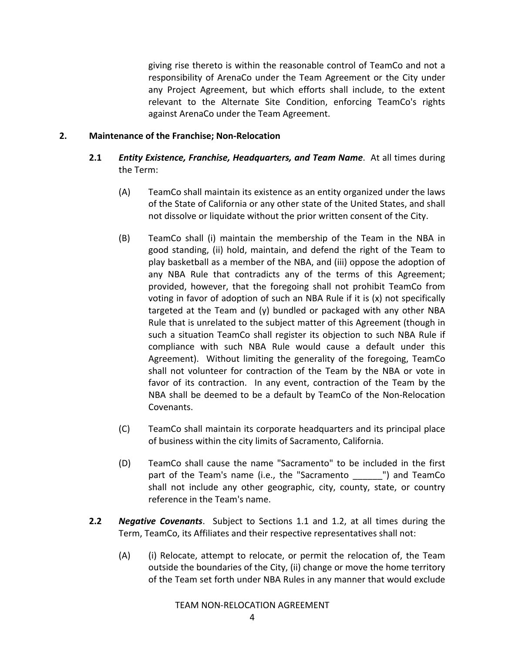giving rise thereto is within the reasonable control of TeamCo and not a responsibility of ArenaCo under the Team Agreement or the City under any Project Agreement, but which efforts shall include, to the extent relevant to the Alternate Site Condition, enforcing TeamCo's rights against ArenaCo under the Team Agreement.

# **2. Maintenance of the Franchise; Non‐Relocation**

- **2.1** *Entity Existence, Franchise, Headquarters, and Team Name*. At all times during the Term:
	- (A) TeamCo shall maintain its existence as an entity organized under the laws of the State of California or any other state of the United States, and shall not dissolve or liquidate without the prior written consent of the City.
	- (B) TeamCo shall (i) maintain the membership of the Team in the NBA in good standing, (ii) hold, maintain, and defend the right of the Team to play basketball as a member of the NBA, and (iii) oppose the adoption of any NBA Rule that contradicts any of the terms of this Agreement; provided, however, that the foregoing shall not prohibit TeamCo from voting in favor of adoption of such an NBA Rule if it is (x) not specifically targeted at the Team and (y) bundled or packaged with any other NBA Rule that is unrelated to the subject matter of this Agreement (though in such a situation TeamCo shall register its objection to such NBA Rule if compliance with such NBA Rule would cause a default under this Agreement). Without limiting the generality of the foregoing, TeamCo shall not volunteer for contraction of the Team by the NBA or vote in favor of its contraction. In any event, contraction of the Team by the NBA shall be deemed to be a default by TeamCo of the Non‐Relocation Covenants.
	- (C) TeamCo shall maintain its corporate headquarters and its principal place of business within the city limits of Sacramento, California.
	- (D) TeamCo shall cause the name "Sacramento" to be included in the first part of the Team's name (i.e., the "Sacramento \_\_\_\_\_\_ ") and TeamCo shall not include any other geographic, city, county, state, or country reference in the Team's name.
- **2.2** *Negative Covenants*. Subject to Sections 1.1 and 1.2, at all times during the Term, TeamCo, its Affiliates and their respective representatives shall not:
	- (A) (i) Relocate, attempt to relocate, or permit the relocation of, the Team outside the boundaries of the City, (ii) change or move the home territory of the Team set forth under NBA Rules in any manner that would exclude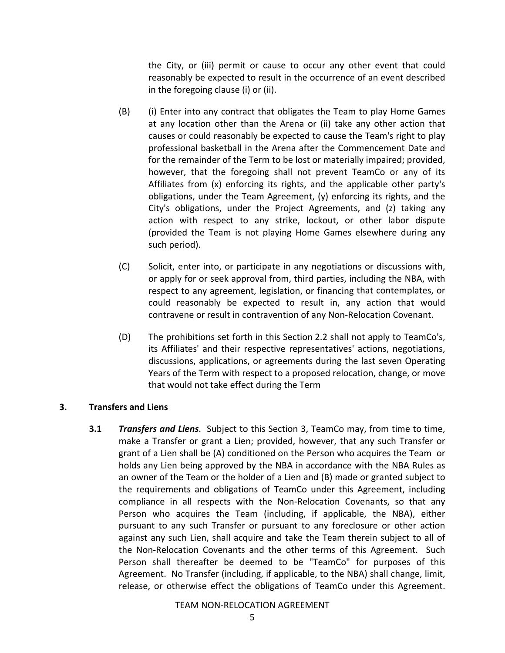the City, or (iii) permit or cause to occur any other event that could reasonably be expected to result in the occurrence of an event described in the foregoing clause (i) or (ii).

- (B) (i) Enter into any contract that obligates the Team to play Home Games at any location other than the Arena or (ii) take any other action that causes or could reasonably be expected to cause the Team's right to play professional basketball in the Arena after the Commencement Date and for the remainder of the Term to be lost or materially impaired; provided, however, that the foregoing shall not prevent TeamCo or any of its Affiliates from (x) enforcing its rights, and the applicable other party's obligations, under the Team Agreement, (y) enforcing its rights, and the City's obligations, under the Project Agreements, and (z) taking any action with respect to any strike, lockout, or other labor dispute (provided the Team is not playing Home Games elsewhere during any such period).
- (C) Solicit, enter into, or participate in any negotiations or discussions with, or apply for or seek approval from, third parties, including the NBA, with respect to any agreement, legislation, or financing that contemplates, or could reasonably be expected to result in, any action that would contravene or result in contravention of any Non‐Relocation Covenant.
- (D) The prohibitions set forth in this Section 2.2 shall not apply to TeamCo's, its Affiliates' and their respective representatives' actions, negotiations, discussions, applications, or agreements during the last seven Operating Years of the Term with respect to a proposed relocation, change, or move that would not take effect during the Term

### **3. Transfers and Liens**

**3.1** *Transfers and Liens*. Subject to this Section 3, TeamCo may, from time to time, make a Transfer or grant a Lien; provided, however, that any such Transfer or grant of a Lien shall be (A) conditioned on the Person who acquires the Team or holds any Lien being approved by the NBA in accordance with the NBA Rules as an owner of the Team or the holder of a Lien and (B) made or granted subject to the requirements and obligations of TeamCo under this Agreement, including compliance in all respects with the Non‐Relocation Covenants, so that any Person who acquires the Team (including, if applicable, the NBA), either pursuant to any such Transfer or pursuant to any foreclosure or other action against any such Lien, shall acquire and take the Team therein subject to all of the Non-Relocation Covenants and the other terms of this Agreement. Such Person shall thereafter be deemed to be "TeamCo" for purposes of this Agreement. No Transfer (including, if applicable, to the NBA) shall change, limit, release, or otherwise effect the obligations of TeamCo under this Agreement.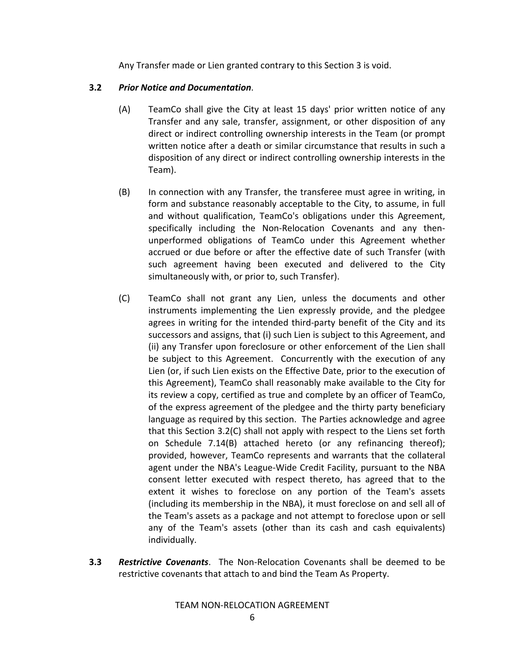Any Transfer made or Lien granted contrary to this Section 3 is void.

# **3.2** *Prior Notice and Documentation*.

- (A) TeamCo shall give the City at least 15 days' prior written notice of any Transfer and any sale, transfer, assignment, or other disposition of any direct or indirect controlling ownership interests in the Team (or prompt written notice after a death or similar circumstance that results in such a disposition of any direct or indirect controlling ownership interests in the Team).
- (B) In connection with any Transfer, the transferee must agree in writing, in form and substance reasonably acceptable to the City, to assume, in full and without qualification, TeamCo's obligations under this Agreement, specifically including the Non-Relocation Covenants and any thenunperformed obligations of TeamCo under this Agreement whether accrued or due before or after the effective date of such Transfer (with such agreement having been executed and delivered to the City simultaneously with, or prior to, such Transfer).
- (C) TeamCo shall not grant any Lien, unless the documents and other instruments implementing the Lien expressly provide, and the pledgee agrees in writing for the intended third‐party benefit of the City and its successors and assigns, that (i) such Lien is subject to this Agreement, and (ii) any Transfer upon foreclosure or other enforcement of the Lien shall be subject to this Agreement. Concurrently with the execution of any Lien (or, if such Lien exists on the Effective Date, prior to the execution of this Agreement), TeamCo shall reasonably make available to the City for its review a copy, certified as true and complete by an officer of TeamCo, of the express agreement of the pledgee and the thirty party beneficiary language as required by this section. The Parties acknowledge and agree that this Section 3.2(C) shall not apply with respect to the Liens set forth on Schedule 7.14(B) attached hereto (or any refinancing thereof); provided, however, TeamCo represents and warrants that the collateral agent under the NBA's League‐Wide Credit Facility, pursuant to the NBA consent letter executed with respect thereto, has agreed that to the extent it wishes to foreclose on any portion of the Team's assets (including its membership in the NBA), it must foreclose on and sell all of the Team's assets as a package and not attempt to foreclose upon or sell any of the Team's assets (other than its cash and cash equivalents) individually.
- **3.3** *Restrictive Covenants*. The Non‐Relocation Covenants shall be deemed to be restrictive covenants that attach to and bind the Team As Property.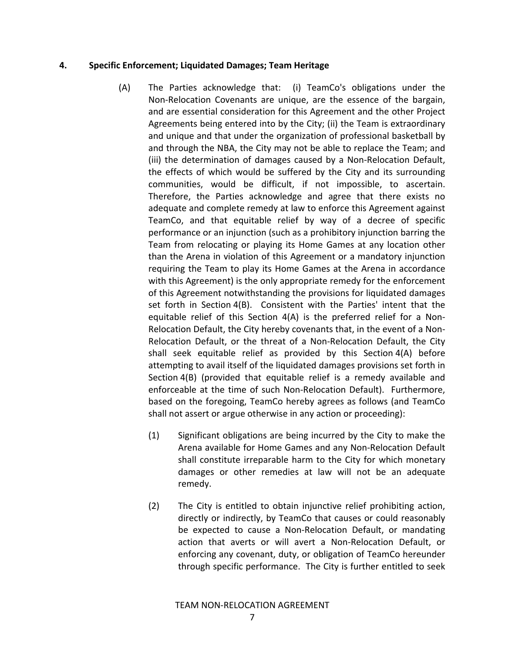### **4. Specific Enforcement; Liquidated Damages; Team Heritage**

- (A) The Parties acknowledge that: (i) TeamCo's obligations under the Non‐Relocation Covenants are unique, are the essence of the bargain, and are essential consideration for this Agreement and the other Project Agreements being entered into by the City; (ii) the Team is extraordinary and unique and that under the organization of professional basketball by and through the NBA, the City may not be able to replace the Team; and (iii) the determination of damages caused by a Non‐Relocation Default, the effects of which would be suffered by the City and its surrounding communities, would be difficult, if not impossible, to ascertain. Therefore, the Parties acknowledge and agree that there exists no adequate and complete remedy at law to enforce this Agreement against TeamCo, and that equitable relief by way of a decree of specific performance or an injunction (such as a prohibitory injunction barring the Team from relocating or playing its Home Games at any location other than the Arena in violation of this Agreement or a mandatory injunction requiring the Team to play its Home Games at the Arena in accordance with this Agreement) is the only appropriate remedy for the enforcement of this Agreement notwithstanding the provisions for liquidated damages set forth in Section 4(B). Consistent with the Parties' intent that the equitable relief of this Section 4(A) is the preferred relief for a Non‐ Relocation Default, the City hereby covenants that, in the event of a Non‐ Relocation Default, or the threat of a Non‐Relocation Default, the City shall seek equitable relief as provided by this Section 4(A) before attempting to avail itself of the liquidated damages provisions set forth in Section 4(B) (provided that equitable relief is a remedy available and enforceable at the time of such Non-Relocation Default). Furthermore, based on the foregoing, TeamCo hereby agrees as follows (and TeamCo shall not assert or argue otherwise in any action or proceeding):
	- (1) Significant obligations are being incurred by the City to make the Arena available for Home Games and any Non‐Relocation Default shall constitute irreparable harm to the City for which monetary damages or other remedies at law will not be an adequate remedy.
	- (2) The City is entitled to obtain injunctive relief prohibiting action, directly or indirectly, by TeamCo that causes or could reasonably be expected to cause a Non-Relocation Default, or mandating action that averts or will avert a Non‐Relocation Default, or enforcing any covenant, duty, or obligation of TeamCo hereunder through specific performance. The City is further entitled to seek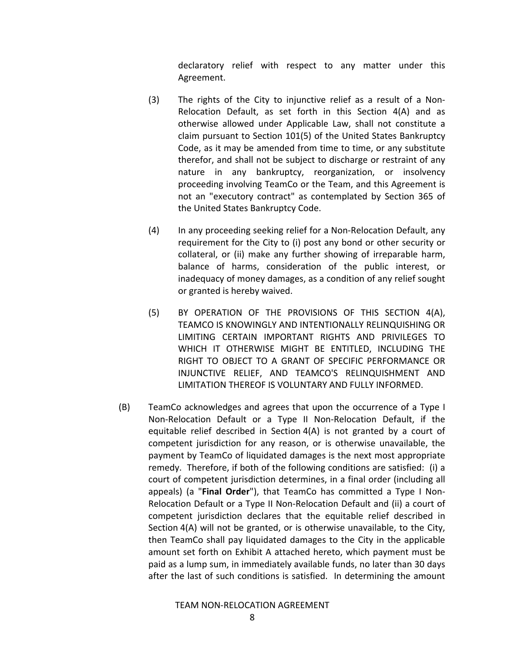declaratory relief with respect to any matter under this Agreement.

- (3) The rights of the City to injunctive relief as a result of a Non‐ Relocation Default, as set forth in this Section 4(A) and as otherwise allowed under Applicable Law, shall not constitute a claim pursuant to Section 101(5) of the United States Bankruptcy Code, as it may be amended from time to time, or any substitute therefor, and shall not be subject to discharge or restraint of any nature in any bankruptcy, reorganization, or insolvency proceeding involving TeamCo or the Team, and this Agreement is not an "executory contract" as contemplated by Section 365 of the United States Bankruptcy Code.
- (4) In any proceeding seeking relief for a Non‐Relocation Default, any requirement for the City to (i) post any bond or other security or collateral, or (ii) make any further showing of irreparable harm, balance of harms, consideration of the public interest, or inadequacy of money damages, as a condition of any relief sought or granted is hereby waived.
- (5) BY OPERATION OF THE PROVISIONS OF THIS SECTION 4(A), TEAMCO IS KNOWINGLY AND INTENTIONALLY RELINQUISHING OR LIMITING CERTAIN IMPORTANT RIGHTS AND PRIVILEGES TO WHICH IT OTHERWISE MIGHT BE ENTITLED, INCLUDING THE RIGHT TO OBJECT TO A GRANT OF SPECIFIC PERFORMANCE OR INJUNCTIVE RELIEF, AND TEAMCO'S RELINQUISHMENT AND LIMITATION THEREOF IS VOLUNTARY AND FULLY INFORMED.
- (B) TeamCo acknowledges and agrees that upon the occurrence of a Type I Non‐Relocation Default or a Type II Non‐Relocation Default, if the equitable relief described in Section 4(A) is not granted by a court of competent jurisdiction for any reason, or is otherwise unavailable, the payment by TeamCo of liquidated damages is the next most appropriate remedy. Therefore, if both of the following conditions are satisfied: (i) a court of competent jurisdiction determines, in a final order (including all appeals) (a "**Final Order**"), that TeamCo has committed a Type I Non‐ Relocation Default or a Type II Non‐Relocation Default and (ii) a court of competent jurisdiction declares that the equitable relief described in Section 4(A) will not be granted, or is otherwise unavailable, to the City, then TeamCo shall pay liquidated damages to the City in the applicable amount set forth on Exhibit A attached hereto, which payment must be paid as a lump sum, in immediately available funds, no later than 30 days after the last of such conditions is satisfied. In determining the amount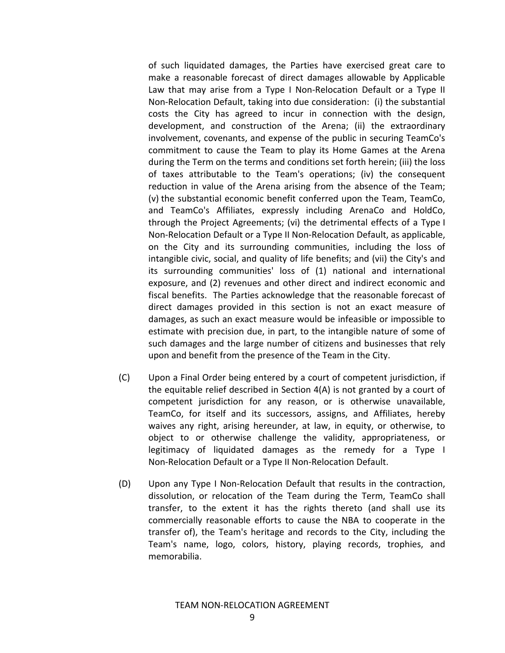of such liquidated damages, the Parties have exercised great care to make a reasonable forecast of direct damages allowable by Applicable Law that may arise from a Type I Non-Relocation Default or a Type II Non‐Relocation Default, taking into due consideration: (i) the substantial costs the City has agreed to incur in connection with the design, development, and construction of the Arena; (ii) the extraordinary involvement, covenants, and expense of the public in securing TeamCo's commitment to cause the Team to play its Home Games at the Arena during the Term on the terms and conditions set forth herein; (iii) the loss of taxes attributable to the Team's operations; (iv) the consequent reduction in value of the Arena arising from the absence of the Team; (v) the substantial economic benefit conferred upon the Team, TeamCo, and TeamCo's Affiliates, expressly including ArenaCo and HoldCo, through the Project Agreements; (vi) the detrimental effects of a Type I Non‐Relocation Default or a Type II Non‐Relocation Default, as applicable, on the City and its surrounding communities, including the loss of intangible civic, social, and quality of life benefits; and (vii) the City's and its surrounding communities' loss of (1) national and international exposure, and (2) revenues and other direct and indirect economic and fiscal benefits. The Parties acknowledge that the reasonable forecast of direct damages provided in this section is not an exact measure of damages, as such an exact measure would be infeasible or impossible to estimate with precision due, in part, to the intangible nature of some of such damages and the large number of citizens and businesses that rely upon and benefit from the presence of the Team in the City.

- (C) Upon a Final Order being entered by a court of competent jurisdiction, if the equitable relief described in Section 4(A) is not granted by a court of competent jurisdiction for any reason, or is otherwise unavailable, TeamCo, for itself and its successors, assigns, and Affiliates, hereby waives any right, arising hereunder, at law, in equity, or otherwise, to object to or otherwise challenge the validity, appropriateness, or legitimacy of liquidated damages as the remedy for a Type I Non‐Relocation Default or a Type II Non‐Relocation Default.
- (D) Upon any Type I Non‐Relocation Default that results in the contraction, dissolution, or relocation of the Team during the Term, TeamCo shall transfer, to the extent it has the rights thereto (and shall use its commercially reasonable efforts to cause the NBA to cooperate in the transfer of), the Team's heritage and records to the City, including the Team's name, logo, colors, history, playing records, trophies, and memorabilia.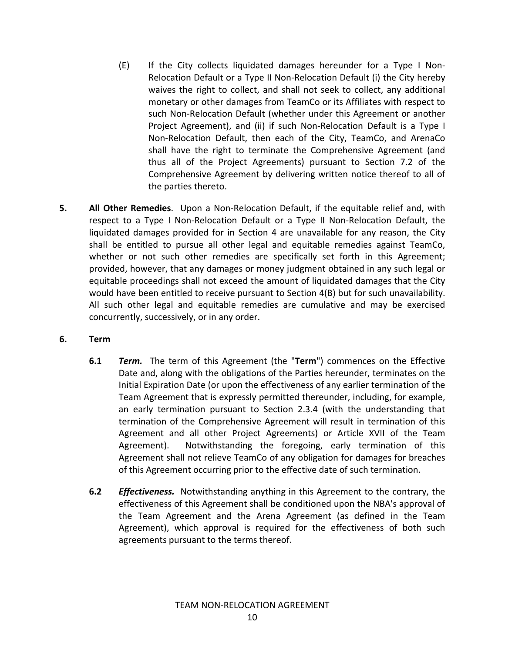- (E) If the City collects liquidated damages hereunder for a Type I Non‐ Relocation Default or a Type II Non‐Relocation Default (i) the City hereby waives the right to collect, and shall not seek to collect, any additional monetary or other damages from TeamCo or its Affiliates with respect to such Non‐Relocation Default (whether under this Agreement or another Project Agreement), and (ii) if such Non‐Relocation Default is a Type I Non‐Relocation Default, then each of the City, TeamCo, and ArenaCo shall have the right to terminate the Comprehensive Agreement (and thus all of the Project Agreements) pursuant to Section 7.2 of the Comprehensive Agreement by delivering written notice thereof to all of the parties thereto.
- **5. All Other Remedies**. Upon a Non‐Relocation Default, if the equitable relief and, with respect to a Type I Non-Relocation Default or a Type II Non-Relocation Default, the liquidated damages provided for in Section 4 are unavailable for any reason, the City shall be entitled to pursue all other legal and equitable remedies against TeamCo, whether or not such other remedies are specifically set forth in this Agreement; provided, however, that any damages or money judgment obtained in any such legal or equitable proceedings shall not exceed the amount of liquidated damages that the City would have been entitled to receive pursuant to Section 4(B) but for such unavailability. All such other legal and equitable remedies are cumulative and may be exercised concurrently, successively, or in any order.

# **6. Term**

- **6.1** *Term.* The term of this Agreement (the "Term") commences on the Effective Date and, along with the obligations of the Parties hereunder, terminates on the Initial Expiration Date (or upon the effectiveness of any earlier termination of the Team Agreement that is expressly permitted thereunder, including, for example, an early termination pursuant to Section 2.3.4 (with the understanding that termination of the Comprehensive Agreement will result in termination of this Agreement and all other Project Agreements) or Article XVII of the Team Agreement). Notwithstanding the foregoing, early termination of this Agreement shall not relieve TeamCo of any obligation for damages for breaches of this Agreement occurring prior to the effective date of such termination.
- **6.2** *Effectiveness.* Notwithstanding anything in this Agreement to the contrary, the effectiveness of this Agreement shall be conditioned upon the NBA's approval of the Team Agreement and the Arena Agreement (as defined in the Team Agreement), which approval is required for the effectiveness of both such agreements pursuant to the terms thereof.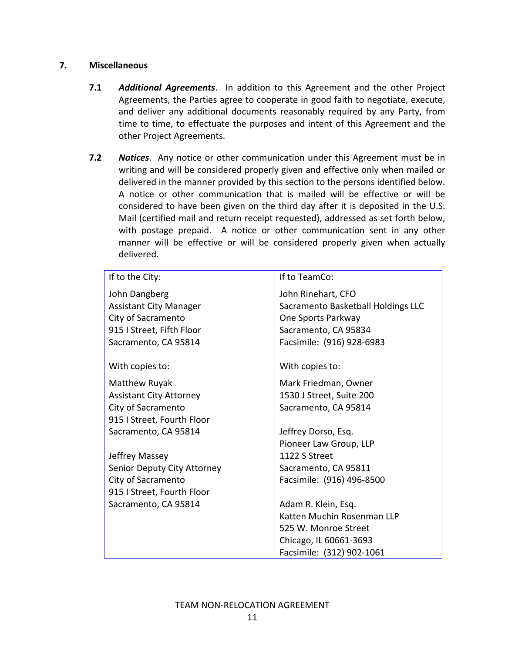## **7. Miscellaneous**

- **7.1** *Additional Agreements*. In addition to this Agreement and the other Project Agreements, the Parties agree to cooperate in good faith to negotiate, execute, and deliver any additional documents reasonably required by any Party, from time to time, to effectuate the purposes and intent of this Agreement and the other Project Agreements.
- **7.2** *Notices*. Any notice or other communication under this Agreement must be in writing and will be considered properly given and effective only when mailed or delivered in the manner provided by this section to the persons identified below. A notice or other communication that is mailed will be effective or will be considered to have been given on the third day after it is deposited in the U.S. Mail (certified mail and return receipt requested), addressed as set forth below, with postage prepaid. A notice or other communication sent in any other manner will be effective or will be considered properly given when actually delivered.

| If to the City:                | If to TeamCo:                      |
|--------------------------------|------------------------------------|
| John Dangberg                  | John Rinehart, CFO                 |
| <b>Assistant City Manager</b>  | Sacramento Basketball Holdings LLC |
| City of Sacramento             | One Sports Parkway                 |
| 915   Street, Fifth Floor      | Sacramento, CA 95834               |
| Sacramento, CA 95814           | Facsimile: (916) 928-6983          |
| With copies to:                | With copies to:                    |
| Matthew Ruyak                  | Mark Friedman, Owner               |
| <b>Assistant City Attorney</b> | 1530 J Street, Suite 200           |
| City of Sacramento             | Sacramento, CA 95814               |
| 915 I Street, Fourth Floor     |                                    |
| Sacramento, CA 95814           | Jeffrey Dorso, Esq.                |
|                                | Pioneer Law Group, LLP             |
| Jeffrey Massey                 | 1122 S Street                      |
| Senior Deputy City Attorney    | Sacramento, CA 95811               |
| City of Sacramento             | Facsimile: (916) 496-8500          |
| 915 I Street, Fourth Floor     |                                    |
| Sacramento, CA 95814           | Adam R. Klein, Esq.                |
|                                | Katten Muchin Rosenman LLP         |
|                                | 525 W. Monroe Street               |
|                                | Chicago, IL 60661-3693             |
|                                | Facsimile: (312) 902-1061          |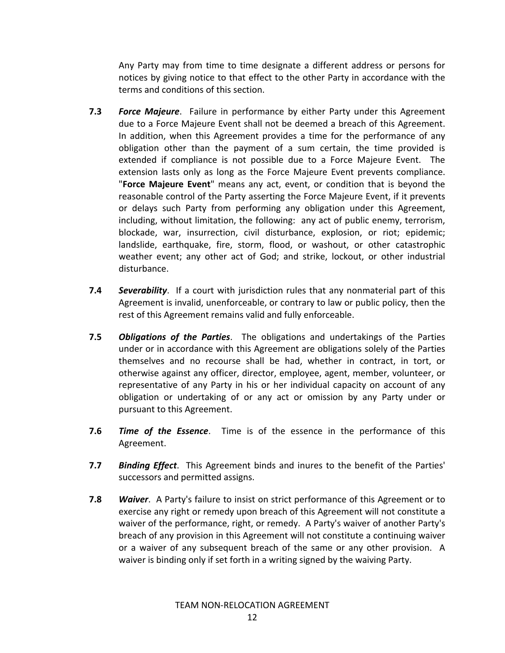Any Party may from time to time designate a different address or persons for notices by giving notice to that effect to the other Party in accordance with the terms and conditions of this section.

- **7.3** *Force Majeure*. Failure in performance by either Party under this Agreement due to a Force Majeure Event shall not be deemed a breach of this Agreement. In addition, when this Agreement provides a time for the performance of any obligation other than the payment of a sum certain, the time provided is extended if compliance is not possible due to a Force Majeure Event. The extension lasts only as long as the Force Majeure Event prevents compliance. "**Force Majeure Event**" means any act, event, or condition that is beyond the reasonable control of the Party asserting the Force Majeure Event, if it prevents or delays such Party from performing any obligation under this Agreement, including, without limitation, the following: any act of public enemy, terrorism, blockade, war, insurrection, civil disturbance, explosion, or riot; epidemic; landslide, earthquake, fire, storm, flood, or washout, or other catastrophic weather event; any other act of God; and strike, lockout, or other industrial disturbance.
- **7.4** *Severability*. If a court with jurisdiction rules that any nonmaterial part of this Agreement is invalid, unenforceable, or contrary to law or public policy, then the rest of this Agreement remains valid and fully enforceable.
- **7.5** *Obligations of the Parties*. The obligations and undertakings of the Parties under or in accordance with this Agreement are obligations solely of the Parties themselves and no recourse shall be had, whether in contract, in tort, or otherwise against any officer, director, employee, agent, member, volunteer, or representative of any Party in his or her individual capacity on account of any obligation or undertaking of or any act or omission by any Party under or pursuant to this Agreement.
- **7.6** *Time of the Essence*. Time is of the essence in the performance of this Agreement.
- **7.7** *Binding Effect*. This Agreement binds and inures to the benefit of the Parties' successors and permitted assigns.
- **7.8** *Waiver*. A Party's failure to insist on strict performance of this Agreement or to exercise any right or remedy upon breach of this Agreement will not constitute a waiver of the performance, right, or remedy. A Party's waiver of another Party's breach of any provision in this Agreement will not constitute a continuing waiver or a waiver of any subsequent breach of the same or any other provision. A waiver is binding only if set forth in a writing signed by the waiving Party.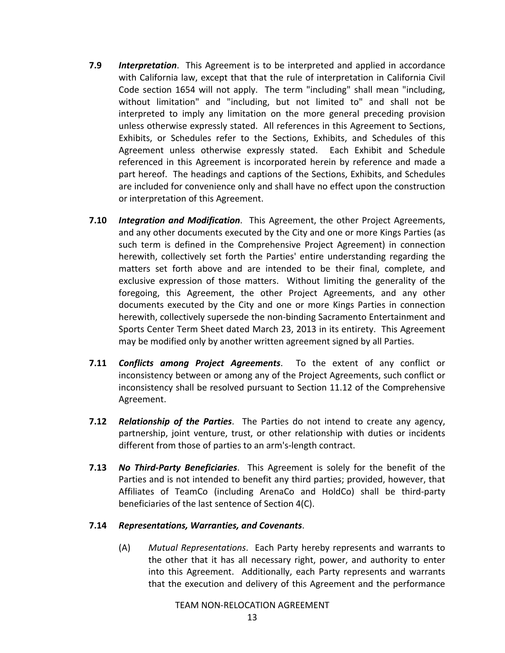- **7.9** *Interpretation*. This Agreement is to be interpreted and applied in accordance with California law, except that that the rule of interpretation in California Civil Code section 1654 will not apply. The term "including" shall mean "including, without limitation" and "including, but not limited to" and shall not be interpreted to imply any limitation on the more general preceding provision unless otherwise expressly stated. All references in this Agreement to Sections, Exhibits, or Schedules refer to the Sections, Exhibits, and Schedules of this Agreement unless otherwise expressly stated. Each Exhibit and Schedule referenced in this Agreement is incorporated herein by reference and made a part hereof. The headings and captions of the Sections, Exhibits, and Schedules are included for convenience only and shall have no effect upon the construction or interpretation of this Agreement.
- **7.10** *Integration and Modification*. This Agreement, the other Project Agreements, and any other documents executed by the City and one or more Kings Parties (as such term is defined in the Comprehensive Project Agreement) in connection herewith, collectively set forth the Parties' entire understanding regarding the matters set forth above and are intended to be their final, complete, and exclusive expression of those matters. Without limiting the generality of the foregoing, this Agreement, the other Project Agreements, and any other documents executed by the City and one or more Kings Parties in connection herewith, collectively supersede the non‐binding Sacramento Entertainment and Sports Center Term Sheet dated March 23, 2013 in its entirety. This Agreement may be modified only by another written agreement signed by all Parties.
- **7.11** *Conflicts among Project Agreements*. To the extent of any conflict or inconsistency between or among any of the Project Agreements, such conflict or inconsistency shall be resolved pursuant to Section 11.12 of the Comprehensive Agreement.
- **7.12** *Relationship of the Parties*. The Parties do not intend to create any agency, partnership, joint venture, trust, or other relationship with duties or incidents different from those of parties to an arm's‐length contract.
- **7.13** *No Third‐Party Beneficiaries*. This Agreement is solely for the benefit of the Parties and is not intended to benefit any third parties; provided, however, that Affiliates of TeamCo (including ArenaCo and HoldCo) shall be third‐party beneficiaries of the last sentence of Section 4(C).

### **7.14** *Representations, Warranties, and Covenants*.

(A) *Mutual Representations*. Each Party hereby represents and warrants to the other that it has all necessary right, power, and authority to enter into this Agreement. Additionally, each Party represents and warrants that the execution and delivery of this Agreement and the performance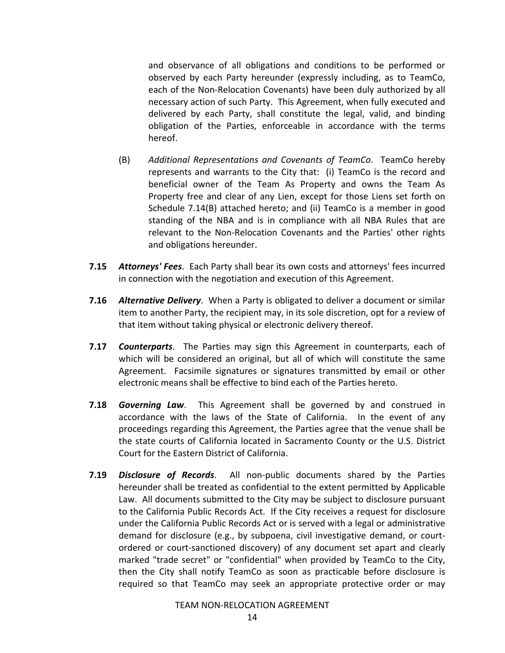and observance of all obligations and conditions to be performed or observed by each Party hereunder (expressly including, as to TeamCo, each of the Non‐Relocation Covenants) have been duly authorized by all necessary action of such Party. This Agreement, when fully executed and delivered by each Party, shall constitute the legal, valid, and binding obligation of the Parties, enforceable in accordance with the terms hereof.

- (B) *Additional Representations and Covenants of TeamCo*. TeamCo hereby represents and warrants to the City that: (i) TeamCo is the record and beneficial owner of the Team As Property and owns the Team As Property free and clear of any Lien, except for those Liens set forth on Schedule 7.14(B) attached hereto; and (ii) TeamCo is a member in good standing of the NBA and is in compliance with all NBA Rules that are relevant to the Non‐Relocation Covenants and the Parties' other rights and obligations hereunder.
- **7.15** *Attorneys' Fees*. Each Party shall bear its own costs and attorneys' fees incurred in connection with the negotiation and execution of this Agreement.
- **7.16** *Alternative Delivery*. When a Party is obligated to deliver a document or similar item to another Party, the recipient may, in its sole discretion, opt for a review of that item without taking physical or electronic delivery thereof.
- **7.17** *Counterparts*. The Parties may sign this Agreement in counterparts, each of which will be considered an original, but all of which will constitute the same Agreement. Facsimile signatures or signatures transmitted by email or other electronic means shall be effective to bind each of the Parties hereto.
- **7.18** *Governing Law*. This Agreement shall be governed by and construed in accordance with the laws of the State of California. In the event of any proceedings regarding this Agreement, the Parties agree that the venue shall be the state courts of California located in Sacramento County or the U.S. District Court for the Eastern District of California.
- **7.19** *Disclosure of Records*. All non‐public documents shared by the Parties hereunder shall be treated as confidential to the extent permitted by Applicable Law. All documents submitted to the City may be subject to disclosure pursuant to the California Public Records Act. If the City receives a request for disclosure under the California Public Records Act or is served with a legal or administrative demand for disclosure (e.g., by subpoena, civil investigative demand, or court‐ ordered or court‐sanctioned discovery) of any document set apart and clearly marked "trade secret" or "confidential" when provided by TeamCo to the City, then the City shall notify TeamCo as soon as practicable before disclosure is required so that TeamCo may seek an appropriate protective order or may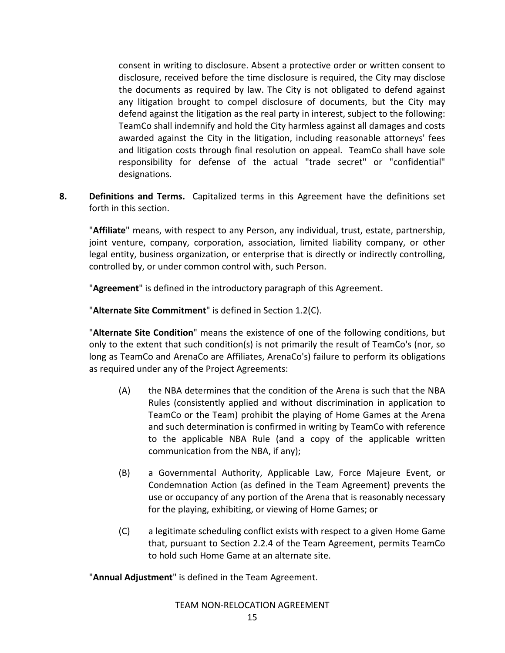consent in writing to disclosure. Absent a protective order or written consent to disclosure, received before the time disclosure is required, the City may disclose the documents as required by law. The City is not obligated to defend against any litigation brought to compel disclosure of documents, but the City may defend against the litigation as the real party in interest, subject to the following: TeamCo shall indemnify and hold the City harmless against all damages and costs awarded against the City in the litigation, including reasonable attorneys' fees and litigation costs through final resolution on appeal. TeamCo shall have sole responsibility for defense of the actual "trade secret" or "confidential" designations.

**8. Definitions and Terms.** Capitalized terms in this Agreement have the definitions set forth in this section.

"**Affiliate**" means, with respect to any Person, any individual, trust, estate, partnership, joint venture, company, corporation, association, limited liability company, or other legal entity, business organization, or enterprise that is directly or indirectly controlling, controlled by, or under common control with, such Person.

"**Agreement**" is defined in the introductory paragraph of this Agreement.

"**Alternate Site Commitment**" is defined in Section 1.2(C).

"**Alternate Site Condition**" means the existence of one of the following conditions, but only to the extent that such condition(s) is not primarily the result of TeamCo's (nor, so long as TeamCo and ArenaCo are Affiliates, ArenaCo's) failure to perform its obligations as required under any of the Project Agreements:

- (A) the NBA determines that the condition of the Arena is such that the NBA Rules (consistently applied and without discrimination in application to TeamCo or the Team) prohibit the playing of Home Games at the Arena and such determination is confirmed in writing by TeamCo with reference to the applicable NBA Rule (and a copy of the applicable written communication from the NBA, if any);
- (B) a Governmental Authority, Applicable Law, Force Majeure Event, or Condemnation Action (as defined in the Team Agreement) prevents the use or occupancy of any portion of the Arena that is reasonably necessary for the playing, exhibiting, or viewing of Home Games; or
- (C) a legitimate scheduling conflict exists with respect to a given Home Game that, pursuant to Section 2.2.4 of the Team Agreement, permits TeamCo to hold such Home Game at an alternate site.

"**Annual Adjustment**" is defined in the Team Agreement.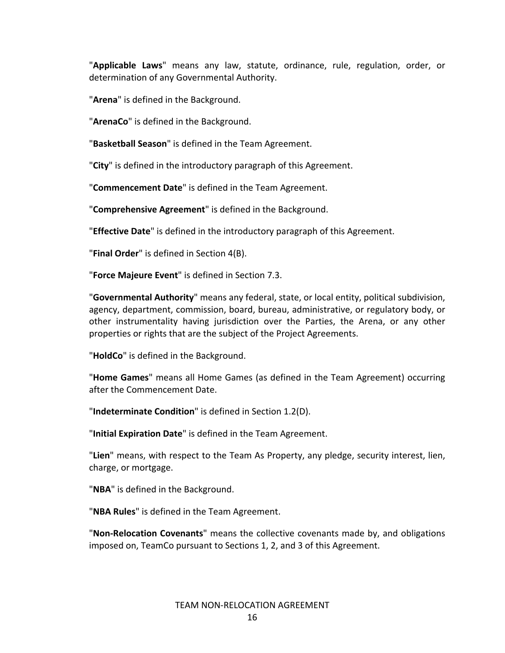"**Applicable Laws**" means any law, statute, ordinance, rule, regulation, order, or determination of any Governmental Authority.

"**Arena**" is defined in the Background.

"**ArenaCo**" is defined in the Background.

"**Basketball Season**" is defined in the Team Agreement.

"**City**" is defined in the introductory paragraph of this Agreement.

"**Commencement Date**" is defined in the Team Agreement.

"**Comprehensive Agreement**" is defined in the Background.

"**Effective Date**" is defined in the introductory paragraph of this Agreement.

"**Final Order**" is defined in Section 4(B).

"**Force Majeure Event**" is defined in Section 7.3.

"**Governmental Authority**" means any federal, state, or local entity, political subdivision, agency, department, commission, board, bureau, administrative, or regulatory body, or other instrumentality having jurisdiction over the Parties, the Arena, or any other properties or rights that are the subject of the Project Agreements.

"**HoldCo**" is defined in the Background.

"**Home Games**" means all Home Games (as defined in the Team Agreement) occurring after the Commencement Date.

"**Indeterminate Condition**" is defined in Section 1.2(D).

"**Initial Expiration Date**" is defined in the Team Agreement.

"**Lien**" means, with respect to the Team As Property, any pledge, security interest, lien, charge, or mortgage.

"**NBA**" is defined in the Background.

"**NBA Rules**" is defined in the Team Agreement.

"**Non‐Relocation Covenants**" means the collective covenants made by, and obligations imposed on, TeamCo pursuant to Sections 1, 2, and 3 of this Agreement.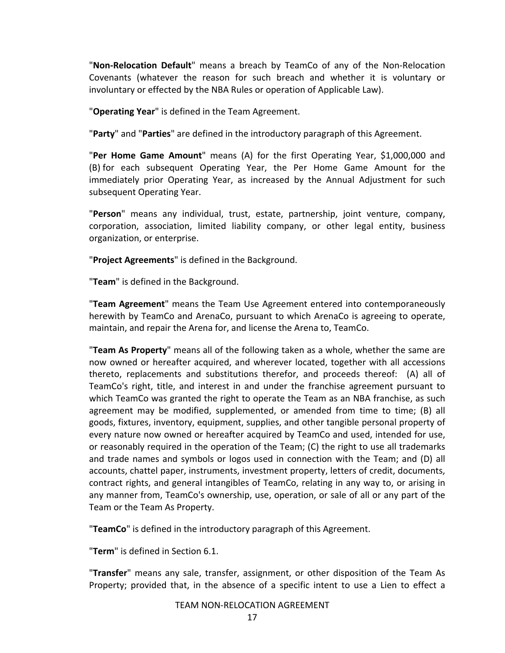"**Non‐Relocation Default**" means a breach by TeamCo of any of the Non‐Relocation Covenants (whatever the reason for such breach and whether it is voluntary or involuntary or effected by the NBA Rules or operation of Applicable Law).

"**Operating Year**" is defined in the Team Agreement.

"**Party**" and "**Parties**" are defined in the introductory paragraph of this Agreement.

"**Per Home Game Amount**" means (A) for the first Operating Year, \$1,000,000 and (B) for each subsequent Operating Year, the Per Home Game Amount for the immediately prior Operating Year, as increased by the Annual Adjustment for such subsequent Operating Year.

"**Person**" means any individual, trust, estate, partnership, joint venture, company, corporation, association, limited liability company, or other legal entity, business organization, or enterprise.

"**Project Agreements**" is defined in the Background.

"**Team**" is defined in the Background.

"**Team Agreement**" means the Team Use Agreement entered into contemporaneously herewith by TeamCo and ArenaCo, pursuant to which ArenaCo is agreeing to operate, maintain, and repair the Arena for, and license the Arena to, TeamCo.

"**Team As Property**" means all of the following taken as a whole, whether the same are now owned or hereafter acquired, and wherever located, together with all accessions thereto, replacements and substitutions therefor, and proceeds thereof: (A) all of TeamCo's right, title, and interest in and under the franchise agreement pursuant to which TeamCo was granted the right to operate the Team as an NBA franchise, as such agreement may be modified, supplemented, or amended from time to time; (B) all goods, fixtures, inventory, equipment, supplies, and other tangible personal property of every nature now owned or hereafter acquired by TeamCo and used, intended for use, or reasonably required in the operation of the Team; (C) the right to use all trademarks and trade names and symbols or logos used in connection with the Team; and (D) all accounts, chattel paper, instruments, investment property, letters of credit, documents, contract rights, and general intangibles of TeamCo, relating in any way to, or arising in any manner from, TeamCo's ownership, use, operation, or sale of all or any part of the Team or the Team As Property.

"**TeamCo**" is defined in the introductory paragraph of this Agreement.

"**Term**" is defined in Section 6.1.

"**Transfer**" means any sale, transfer, assignment, or other disposition of the Team As Property; provided that, in the absence of a specific intent to use a Lien to effect a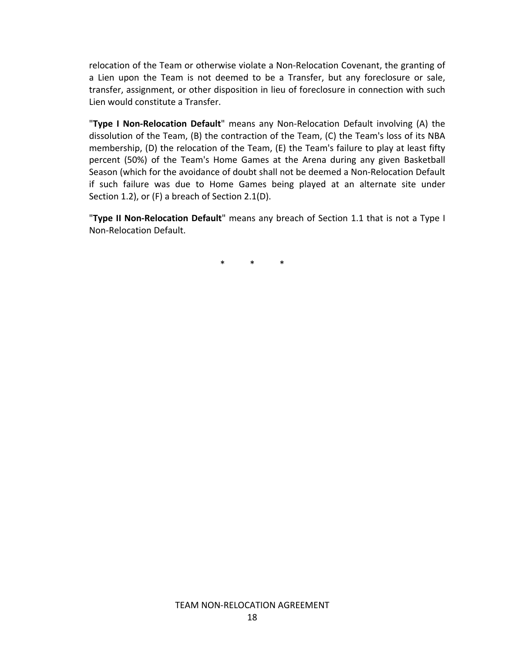relocation of the Team or otherwise violate a Non‐Relocation Covenant, the granting of a Lien upon the Team is not deemed to be a Transfer, but any foreclosure or sale, transfer, assignment, or other disposition in lieu of foreclosure in connection with such Lien would constitute a Transfer.

"**Type I Non‐Relocation Default**" means any Non‐Relocation Default involving (A) the dissolution of the Team, (B) the contraction of the Team, (C) the Team's loss of its NBA membership, (D) the relocation of the Team, (E) the Team's failure to play at least fifty percent (50%) of the Team's Home Games at the Arena during any given Basketball Season (which for the avoidance of doubt shall not be deemed a Non‐Relocation Default if such failure was due to Home Games being played at an alternate site under Section 1.2), or (F) a breach of Section 2.1(D).

"**Type II Non‐Relocation Default**" means any breach of Section 1.1 that is not a Type I Non‐Relocation Default.

\* \* \*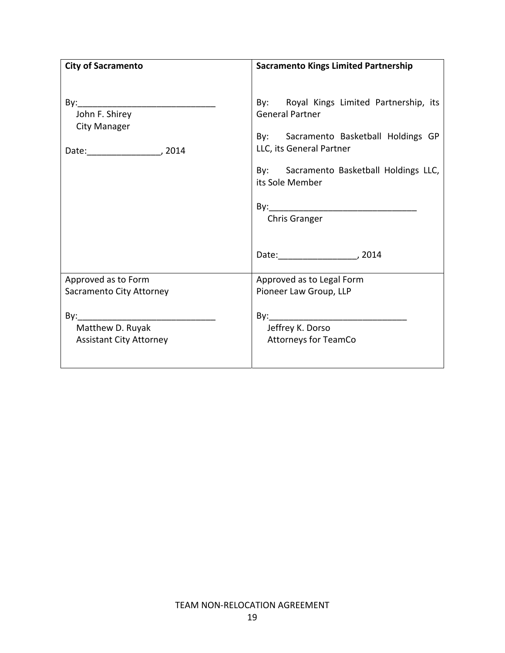| <b>City of Sacramento</b>                                                                                                                                                                                                                                               | <b>Sacramento Kings Limited Partnership</b>                                                                                                                                                                                                 |
|-------------------------------------------------------------------------------------------------------------------------------------------------------------------------------------------------------------------------------------------------------------------------|---------------------------------------------------------------------------------------------------------------------------------------------------------------------------------------------------------------------------------------------|
| By: the contract of the contract of the contract of the contract of the contract of the contract of the contract of the contract of the contract of the contract of the contract of the contract of the contract of the contra<br>John F. Shirey<br><b>City Manager</b> | By: Royal Kings Limited Partnership, its<br><b>General Partner</b><br>By: Sacramento Basketball Holdings GP<br>LLC, its General Partner<br>By: Sacramento Basketball Holdings LLC,<br>its Sole Member<br><b>Chris Granger</b><br>Date: 2014 |
| Approved as to Form                                                                                                                                                                                                                                                     | Approved as to Legal Form                                                                                                                                                                                                                   |
| Sacramento City Attorney                                                                                                                                                                                                                                                | Pioneer Law Group, LLP                                                                                                                                                                                                                      |
|                                                                                                                                                                                                                                                                         |                                                                                                                                                                                                                                             |
| Matthew D. Ruyak                                                                                                                                                                                                                                                        | Jeffrey K. Dorso                                                                                                                                                                                                                            |
| <b>Assistant City Attorney</b>                                                                                                                                                                                                                                          | <b>Attorneys for TeamCo</b>                                                                                                                                                                                                                 |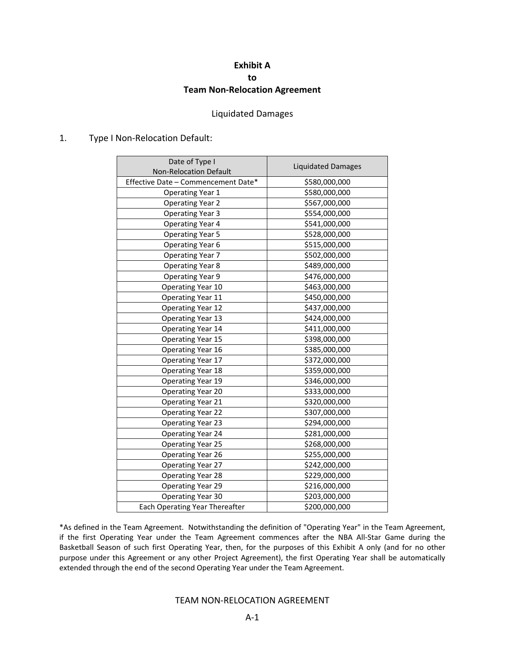# **Exhibit A to Team Non‐Relocation Agreement**

#### Liquidated Damages

#### 1. Type I Non‐Relocation Default:

| Date of Type I<br><b>Non-Relocation Default</b> | <b>Liquidated Damages</b> |
|-------------------------------------------------|---------------------------|
| Effective Date - Commencement Date*             | \$580,000,000             |
| <b>Operating Year 1</b>                         | \$580,000,000             |
| <b>Operating Year 2</b>                         | \$567,000,000             |
| <b>Operating Year 3</b>                         | \$554,000,000             |
| <b>Operating Year 4</b>                         | \$541,000,000             |
| <b>Operating Year 5</b>                         | \$528,000,000             |
| <b>Operating Year 6</b>                         | \$515,000,000             |
| <b>Operating Year 7</b>                         | \$502,000,000             |
| <b>Operating Year 8</b>                         | \$489,000,000             |
| <b>Operating Year 9</b>                         | \$476,000,000             |
| Operating Year 10                               | \$463,000,000             |
| Operating Year 11                               | \$450,000,000             |
| <b>Operating Year 12</b>                        | \$437,000,000             |
| Operating Year 13                               | \$424,000,000             |
| Operating Year 14                               | \$411,000,000             |
| Operating Year 15                               | \$398,000,000             |
| Operating Year 16                               | \$385,000,000             |
| Operating Year 17                               | \$372,000,000             |
| <b>Operating Year 18</b>                        | \$359,000,000             |
| Operating Year 19                               | \$346,000,000             |
| <b>Operating Year 20</b>                        | \$333,000,000             |
| Operating Year 21                               | \$320,000,000             |
| <b>Operating Year 22</b>                        | \$307,000,000             |
| <b>Operating Year 23</b>                        | \$294,000,000             |
| Operating Year 24                               | \$281,000,000             |
| Operating Year 25                               | \$268,000,000             |
| Operating Year 26                               | \$255,000,000             |
| <b>Operating Year 27</b>                        | \$242,000,000             |
| <b>Operating Year 28</b>                        | \$229,000,000             |
| <b>Operating Year 29</b>                        | \$216,000,000             |
| Operating Year 30                               | \$203,000,000             |
| Each Operating Year Thereafter                  | \$200,000,000             |

\*As defined in the Team Agreement. Notwithstanding the definition of "Operating Year" in the Team Agreement, if the first Operating Year under the Team Agreement commences after the NBA All‐Star Game during the Basketball Season of such first Operating Year, then, for the purposes of this Exhibit A only (and for no other purpose under this Agreement or any other Project Agreement), the first Operating Year shall be automatically extended through the end of the second Operating Year under the Team Agreement.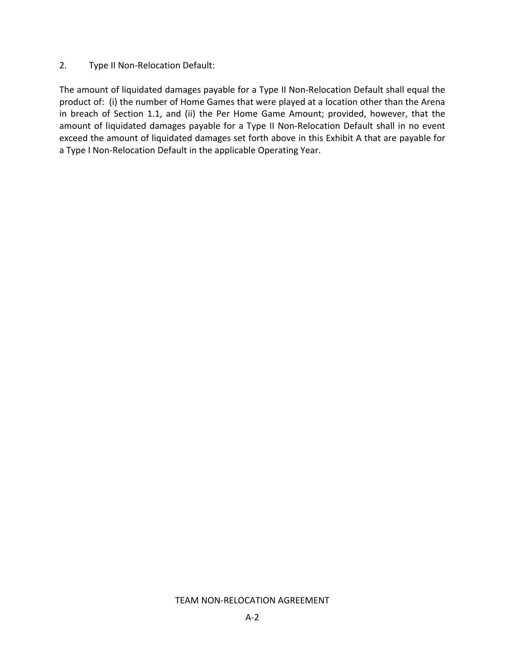## 2. Type II Non‐Relocation Default:

The amount of liquidated damages payable for a Type II Non‐Relocation Default shall equal the product of: (i) the number of Home Games that were played at a location other than the Arena in breach of Section 1.1, and (ii) the Per Home Game Amount; provided, however, that the amount of liquidated damages payable for a Type II Non‐Relocation Default shall in no event exceed the amount of liquidated damages set forth above in this Exhibit A that are payable for a Type I Non-Relocation Default in the applicable Operating Year.